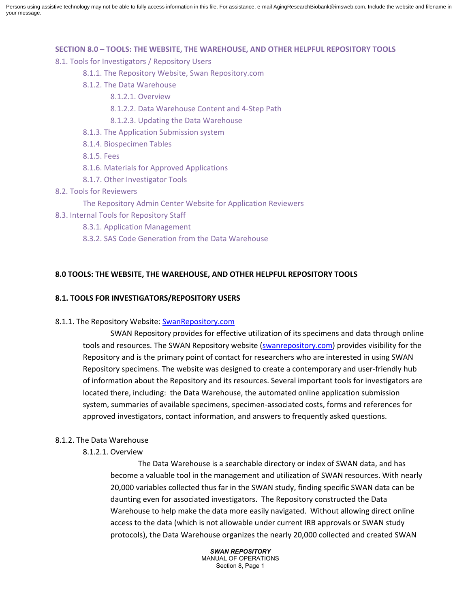Persons using assistive technology may not be able to fully access information in this file. For assistance, e-mail AgingResearchBiobank@imsweb.com. Include the website and filename in your message.

## **SECTION 8.0 – TOOLS: THE WEBSITE, THE WAREHOUSE, AND OTHER HELPFUL REPOSITORY TOOLS**

8.1. Tools for Investigators / Repository Users

- 8.1.1. The Repository Website, Swan Repository.com
- 8.1.2. The Data Warehouse
	- 8.1.2.1. Overview
	- 8.1.2.2. Data Warehouse Content and 4-Step Path
	- 8.1.2.3. Updating the Data Warehouse
- 8.1.3. The Application Submission system
- 8.1.4. Biospecimen Tables
- 8.1.5. Fees
- 8.1.6. Materials for Approved Applications
- 8.1.7. Other Investigator Tools
- 8.2. Tools for Reviewers
	- The Repository Admin Center Website for Application Reviewers
- 8.3. Internal Tools for Repository Staff
	- 8.3.1. Application Management
	- 8.3.2. SAS Code Generation from the Data Warehouse

# **8.0 TOOLS: THE WEBSITE, THE WAREHOUSE, AND OTHER HELPFUL REPOSITORY TOOLS**

# **8.1. TOOLS FOR INVESTIGATORS/REPOSITORY USERS**

# 8.1.1. The Repository Website: SwanRepository.com

SWAN Repository provides for effective utilization of its specimens and data through online tools and resources. The SWAN Repository website (swanrepository.com) provides visibility for the Repository and is the primary point of contact for researchers who are interested in using SWAN Repository specimens. The website was designed to create a contemporary and user-friendly hub of information about the Repository and its resources. Several important tools for investigators are located there, including: the Data Warehouse, the automated online application submission system, summaries of available specimens, specimen-associated costs, forms and references for approved investigators, contact information, and answers to frequently asked questions.

# 8.1.2. The Data Warehouse

# 8.1.2.1. Overview

The Data Warehouse is a searchable directory or index of SWAN data, and has become a valuable tool in the management and utilization of SWAN resources. With nearly 20,000 variables collected thus far in the SWAN study, finding specific SWAN data can be daunting even for associated investigators. The Repository constructed the Data Warehouse to help make the data more easily navigated. Without allowing direct online access to the data (which is not allowable under current IRB approvals or SWAN study protocols), the Data Warehouse organizes the nearly 20,000 collected and created SWAN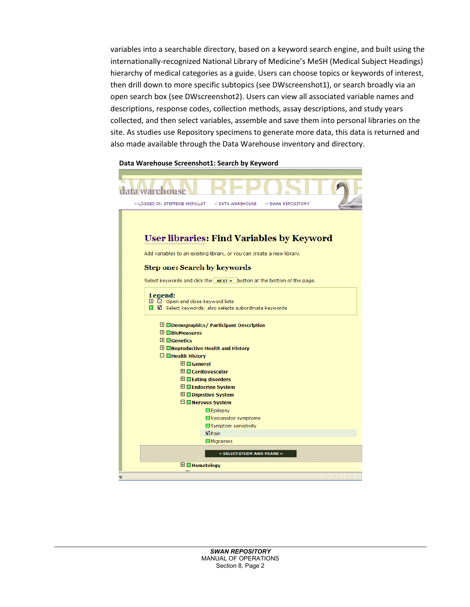variables into a searchable directory, based on a keyword search engine, and built using the internationally-recognized National Library of Medicine's MeSH (Medical Subject Headings) hierarchy of medical categories as a guide. Users can choose topics or keywords of interest, then drill down to more specific subtopics (see DWscreenshot1), or search broadly via an open search box (see DWscreenshot2). Users can view all associated variable names and descriptions, response codes, collection methods, assay descriptions, and study years collected, and then select variables, assemble and save them into personal libraries on the site. As studies use Repository specimens to generate more data, this data is returned and also made available through the Data Warehouse inventory and directory.

## **Data Warehouse Screenshot1: Search by Keyword**

| ata warehouse                                                                  |
|--------------------------------------------------------------------------------|
| » LOGGED IN: STEFFENIE MERILLAT<br>» DATA WAREHOUSE<br>» SWAN REPOSITORY       |
|                                                                                |
|                                                                                |
| <b>User libraries: Find Variables by Keyword</b>                               |
| Add variables to an existing library, or you can create a new library.         |
| <b>Step one: Search by keywords</b>                                            |
| Select keywords and click the $\vert$ NEXT » button at the bottom of the page. |
| Legend:                                                                        |
| $\boxplus$ $\Box$ Open and close keyword lists                                 |
| □ 立 Select keywords; also selects subordinate keywords                         |
| $\boxplus$ $\square$ Demographics/ Participant Description                     |
| $\boxplus$ $\Box$ BioMeasures                                                  |
| $\boxplus \square$ Genetics                                                    |
| $\boxplus$ $\Box$ Reproductive Health and History                              |
| $\Box$ Health History<br>$\boxplus \Box$ General                               |
| $\boxplus \blacksquare$ Cardiovascular                                         |
| $\boxplus$ $\blacksquare$ Eating disorders                                     |
| $\boxplus$ $\Box$ Endocrine System                                             |
| $\boxplus$ $\Box$ Digestive System                                             |
| $\Box$ Nervous System                                                          |
| $\square$ Epilepsy                                                             |
| Vasomotor symptoms                                                             |
| Symptom sensitivity                                                            |
| $\n  W$ Pain                                                                   |
| $\Box$ Migraines                                                               |
| » SELECT STUDY AND YEARS »                                                     |
|                                                                                |
| $\boxplus$ $\Box$ Hematology                                                   |
| hp.                                                                            |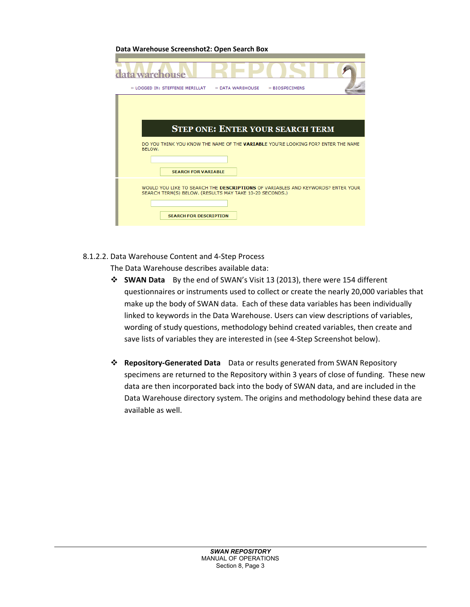**Data Warehouse Screenshot2: Open Search Box** 

| warehouse                                                                                                                                                                   |
|-----------------------------------------------------------------------------------------------------------------------------------------------------------------------------|
| » LOGGED IN: STEFFENIE MERILLAT >>> DATA WAREHOUSE<br>» BIOSPECIMENS                                                                                                        |
| <b>STEP ONE: ENTER YOUR SEARCH TERM</b>                                                                                                                                     |
| DO YOU THINK YOU KNOW THE NAME OF THE VARIABLE YOU'RE LOOKING FOR? ENTER THE NAME<br>BELOW.<br><b>SEARCH FOR VARIABLE</b>                                                   |
| WOULD YOU LIKE TO SEARCH THE DESCRIPTIONS OF VARIABLES AND KEYWORDS? ENTER YOUR<br>SEARCH TERM(S) BELOW. (RESULTS MAY TAKE 10-20 SECONDS.)<br><b>SEARCH FOR DESCRIPTION</b> |

8.1.2.2. Data Warehouse Content and 4-Step Process

The Data Warehouse describes available data:

- **SWAN Data** By the end of SWAN's Visit 13 (2013), there were 154 different questionnaires or instruments used to collect or create the nearly 20,000 variables that make up the body of SWAN data. Each of these data variables has been individually linked to keywords in the Data Warehouse. Users can view descriptions of variables, wording of study questions, methodology behind created variables, then create and save lists of variables they are interested in (see 4-Step Screenshot below).
- **Repository-Generated Data** Data or results generated from SWAN Repository specimens are returned to the Repository within 3 years of close of funding. These new data are then incorporated back into the body of SWAN data, and are included in the Data Warehouse directory system. The origins and methodology behind these data are available as well.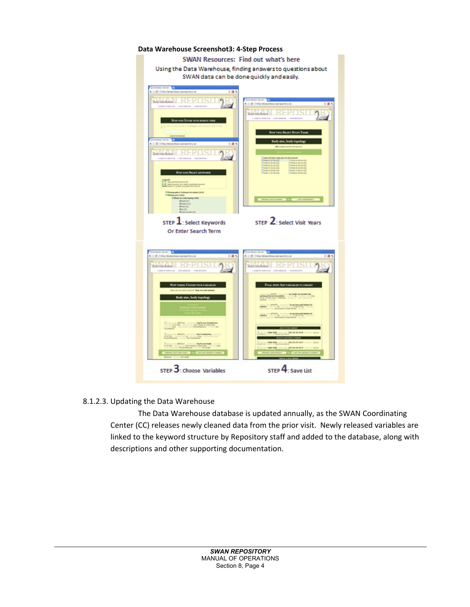# **Data Warehouse Screenshot3: 4-Step Process**  SWAN Resources: Find out what's here Using the Data Warehouse, finding answers to questions about SWAN data can be done quickly and easily. TER VOCA REARCH TERM **REPOSIT** STEP 2: Select Visit Years STEP  $\mathbf{1}$ : Select Keywords Or Enter Search Term - POST STEP 3: Choose Variables STEP 4: Save List

# 8.1.2.3. Updating the Data Warehouse

The Data Warehouse database is updated annually, as the SWAN Coordinating Center (CC) releases newly cleaned data from the prior visit. Newly released variables are linked to the keyword structure by Repository staff and added to the database, along with descriptions and other supporting documentation.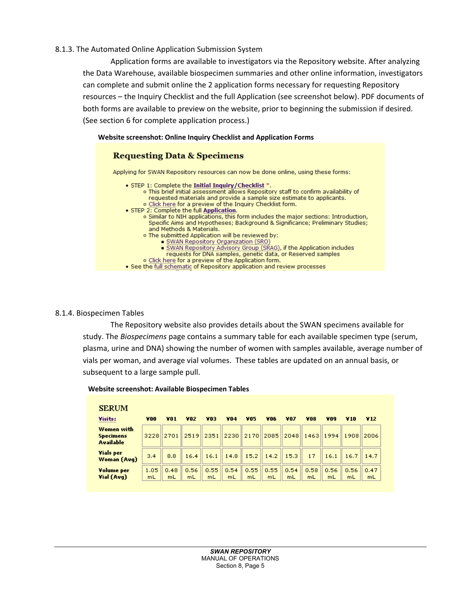# 8.1.3. The Automated Online Application Submission System

Application forms are available to investigators via the Repository website. After analyzing the Data Warehouse, available biospecimen summaries and other online information, investigators can complete and submit online the 2 application forms necessary for requesting Repository resources – the Inquiry Checklist and the full Application (see screenshot below). PDF documents of both forms are available to preview on the website, prior to beginning the submission if desired. (See section 6 for complete application process.)

## **Website screenshot: Online Inquiry Checklist and Application Forms**



# 8.1.4. Biospecimen Tables

The Repository website also provides details about the SWAN specimens available for study. The *Biospecimens* page contains a summary table for each available specimen type (serum, plasma, urine and DNA) showing the number of women with samples available, average number of vials per woman, and average vial volumes. These tables are updated on an annual basis, or subsequent to a large sample pull.

| <b>SERUM</b>                                       |            |                 |               |            |                              |            |                     |            |            |                  |            |                 |
|----------------------------------------------------|------------|-----------------|---------------|------------|------------------------------|------------|---------------------|------------|------------|------------------|------------|-----------------|
| Visits:                                            | Y00        | VO <sub>1</sub> | V02           | VO3.       | 404                          | V05        | <b>V06</b>          | <b>V07</b> | <b>Y08</b> | vo9              | <b>V10</b> | V <sub>12</sub> |
| Women with<br><b>Specimens</b><br><b>Available</b> | 3228       |                 | $2701$   2519 |            |                              |            | 2351 2230 2170 2085 | 2048       | 1463       | 1994  1908  2006 |            |                 |
| <b>Vials per</b><br>Woman (Avg)                    | 3,4        | 8.8             | 16.4          | 16.1       | $\parallel$ 14.8 $\parallel$ |            | $15.2$   14.2       | 15.3       | 17         | 16.1             |            | $16.7$   14.7   |
| Volume per<br>Vial (Avg)                           | 1.05<br>mL | 0.48<br>mL      | 0.56<br>mL    | 0.55<br>mL | 0.54<br>mL                   | 0.55<br>mL | 0.55<br>mL          | 0.54<br>mL | 0.58<br>mL | 0.56<br>mL       | 0.56<br>mL | 0.47<br>mL      |

#### **Website screenshot: Available Biospecimen Tables**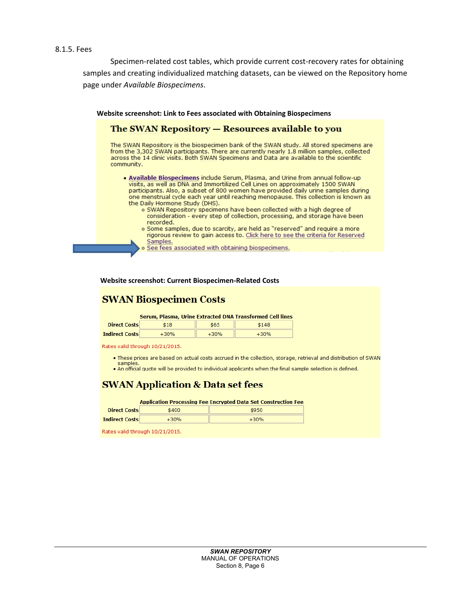## 8.1.5. Fees

Specimen-related cost tables, which provide current cost-recovery rates for obtaining samples and creating individualized matching datasets, can be viewed on the Repository home page under *Available Biospecimens*.

 **Website screenshot: Link to Fees associated with Obtaining Biospecimens** The SWAN Repository - Resources available to you The SWAN Repository is the biospecimen bank of the SWAN study. All stored specimens are from the 3,302 SWAN participants. There are currently nearly 1.8 million samples, collected across the 14 clinic visits. Both SWAN Specimens and Data are available to the scientific community. . Available Biospecimens include Serum, Plasma, and Urine from annual follow-up visits, as well as DNA and Immortilized Cell Lines on approximately 1500 SWAN participants. Also, a subset of 800 women have provided daily urine samples during one menstrual cycle each year until reaching menopause. This collection is known as the Daily Hormone Study (DHS). o SWAN Repository specimens have been collected with a high degree of consideration - every step of collection, processing, and storage have been recorded. o Some samples, due to scarcity, are held as "reserved" and require a more rigorous review to gain access to. Click here to see the criteria for Reserved Samples. o See fees associated with obtaining biospecimens.

#### **Website screenshot: Current Biospecimen-Related Costs**

# **SWAN Biospecimen Costs**

|              |     | Serum, Plasma, Urine Extracted DNA Transformed Cell lines |
|--------------|-----|-----------------------------------------------------------|
| Direct Costs | 410 | 61A9                                                      |

| плест сомм            |  |  |
|-----------------------|--|--|
| <b>Indirect Costs</b> |  |  |
|                       |  |  |

Rates valid through 10/21/2015.

- . These prices are based on actual costs accrued in the collection, storage, retrieval and distribution of SWAN samples
- An official quote will be provided to individual applicants when the final sample selection is defined.

# **SWAN Application & Data set fees**

|                       |        | <b>Application Processing Fee Encrypted Data Set Construction Fee</b> |
|-----------------------|--------|-----------------------------------------------------------------------|
| <b>Direct Costs</b>   | \$400  | \$950                                                                 |
| <b>Indirect Costs</b> | $+30%$ | $+30%$                                                                |

Rates valid through 10/21/2015.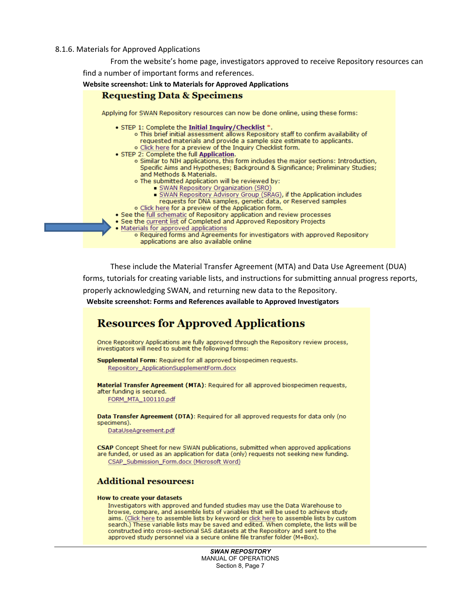#### 8.1.6. Materials for Approved Applications

From the website's home page, investigators approved to receive Repository resources can

find a number of important forms and references.



These include the Material Transfer Agreement (MTA) and Data Use Agreement (DUA) forms, tutorials for creating variable lists, and instructions for submitting annual progress reports, properly acknowledging SWAN, and returning new data to the Repository.

**Website screenshot: Forms and References available to Approved Investigators**

# **Resources for Approved Applications**

Once Repository Applications are fully approved through the Repository review process, investigators will need to submit the following forms:

Supplemental Form: Required for all approved biospecimen requests. Repository\_ApplicationSupplementForm.docx

Material Transfer Agreement (MTA): Required for all approved biospecimen requests, after funding is secured.

FORM\_MTA\_100110.pdf

Data Transfer Agreement (DTA): Required for all approved requests for data only (no specimens).

DataUseAgreement.pdf

CSAP Concept Sheet for new SWAN publications, submitted when approved applications are funded, or used as an application for data (only) requests not seeking new funding. CSAP Submission Form.docx (Microsoft Word)

## **Additional resources:**

#### How to create your datasets

Investigators with approved and funded studies may use the Data Warehouse to browse, compare, and assemble lists of variables that will be used to achieve study aims. (Click here to assemble lists by keyword or click here to assemble lists by custom search.) These variable lists may be saved and edited. When complete, the lists will be constructed into cross-sectional SAS datasets at the Repository and sent to the approved study personnel via a secure online file transfer folder (M+Box).

> *SWAN REPOSITORY* MANUAL OF OPERATIONS Section 8, Page 7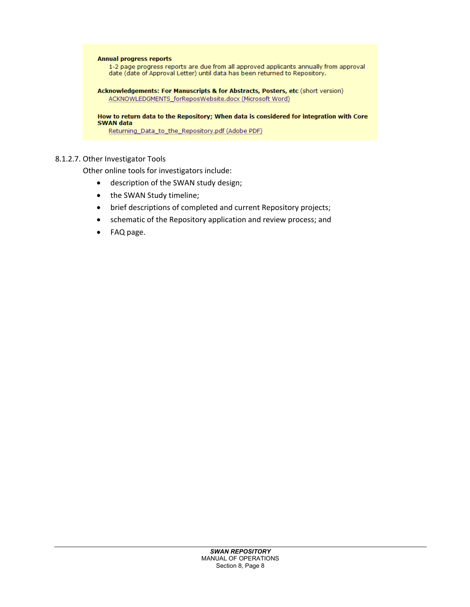

# 8.1.2.7. Other Investigator Tools

Other online tools for investigators include:

- description of the SWAN study design;
- the SWAN Study timeline;
- brief descriptions of completed and current Repository projects;
- schematic of the Repository application and review process; and
- FAQ page.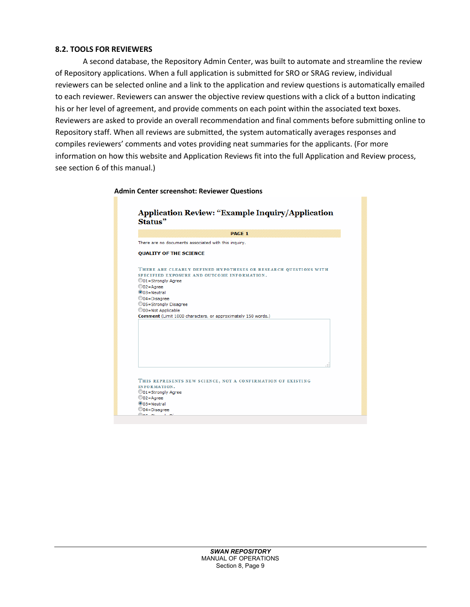# **8.2. TOOLS FOR REVIEWERS**

A second database, the Repository Admin Center, was built to automate and streamline the review of Repository applications. When a full application is submitted for SRO or SRAG review, individual reviewers can be selected online and a link to the application and review questions is automatically emailed to each reviewer. Reviewers can answer the objective review questions with a click of a button indicating his or her level of agreement, and provide comments on each point within the associated text boxes. Reviewers are asked to provide an overall recommendation and final comments before submitting online to Repository staff. When all reviews are submitted, the system automatically averages responses and compiles reviewers' comments and votes providing neat summaries for the applicants. (For more information on how this website and Application Reviews fit into the full Application and Review process, see section 6 of this manual.)

## **Admin Center screenshot: Reviewer Questions**

|                                                                                                         | <b>PAGE 1</b>                                                                                                  |
|---------------------------------------------------------------------------------------------------------|----------------------------------------------------------------------------------------------------------------|
|                                                                                                         | There are no documents associated with this inquiry.                                                           |
| <b>QUALITY OF THE SCIENCE</b>                                                                           |                                                                                                                |
| ©01=Strongly Agree<br>$\odot$ 02=Agree<br>$\odot$ 03 = Neutral<br>©04=Disagree<br>©05=Strongly Disagree | THERE ARE CLEARLY DEFINED HYPOTHESES OR RESEARCH QUESTIONS WITH<br>SPECIFIED EXPOSURE AND OUTCOME INFORMATION. |
| ©00=Not Applicable                                                                                      |                                                                                                                |
|                                                                                                         | Comment (Limit 1000 characters, or approximately 150 words.)                                                   |
|                                                                                                         |                                                                                                                |
| INFORMATION.                                                                                            | THIS REPRESENTS NEW SCIENCE, NOT A CONFIRMATION OF EXISTING                                                    |
| ©01=Strongly Agree<br>$\odot$ 02=Agree                                                                  |                                                                                                                |
| $@03 =$ Neutral                                                                                         |                                                                                                                |
| ©04=Disagree                                                                                            |                                                                                                                |